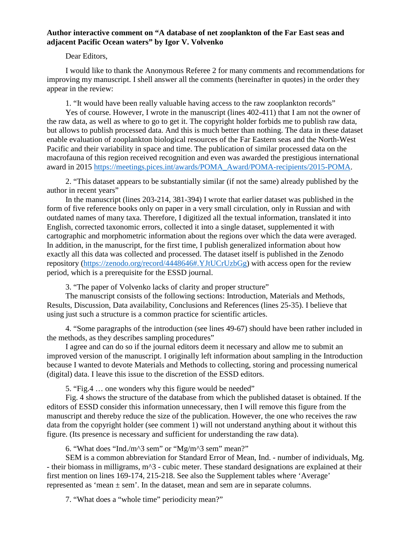## **Author interactive comment on "A database of net zooplankton of the Far East seas and adjacent Pacific Ocean waters" by Igor V. Volvenko**

## Dear Editors,

I would like to thank the Anonymous Referee 2 for many comments and recommendations for improving my manuscript. I shell answer all the comments (hereinafter in quotes) in the order they appear in the review:

1. "It would have been really valuable having access to the raw zooplankton records"

Yes of course. However, I wrote in the manuscript (lines 402-411) that I am not the owner of the raw data, as well as where to go to get it. The copyright holder forbids me to publish raw data, but allows to publish processed data. And this is much better than nothing. The data in these dataset enable evaluation of zooplankton biological resources of the Far Eastern seas and the North-West Pacific and their variability in space and time. The publication of similar processed data on the macrofauna of this region received recognition and even was awarded the prestigious international award in 2015 [https://meetings.pices.int/awards/POMA\\_Award/POMA-recipients/2015-POMA.](https://meetings.pices.int/awards/POMA_Award/POMA-recipients/2015-POMA)

2. "This dataset appears to be substantially similar (if not the same) already published by the author in recent years"

In the manuscript (lines 203-214, 381-394) I wrote that earlier dataset was published in the form of five reference books only on paper in a very small circulation, only in Russian and with outdated names of many taxa. Therefore, I digitized all the textual information, translated it into English, corrected taxonomic errors, collected it into a single dataset, supplemented it with cartographic and morphometric information about the regions over which the data were averaged. In addition, in the manuscript, for the first time, I publish generalized information about how exactly all this data was collected and processed. The dataset itself is published in the Zenodo repository [\(https://zenodo.org/record/4448646#.YJtUCrUzbGg\)](https://zenodo.org/record/4448646%23.YJtUCrUzbGg) with access open for the review period, which is a prerequisite for the ESSD journal.

3. "The paper of Volvenko lacks of clarity and proper structure"

The manuscript consists of the following sections: Introduction, Materials and Methods, Results, Discussion, Data availability, Conclusions and References (lines 25-35). I believe that using just such a structure is a common practice for scientific articles.

4. "Some paragraphs of the introduction (see lines 49-67) should have been rather included in the methods, as they describes sampling procedures"

I agree and can do so if the journal editors deem it necessary and allow me to submit an improved version of the manuscript. I originally left information about sampling in the Introduction because I wanted to devote Materials and Methods to collecting, storing and processing numerical (digital) data. I leave this issue to the discretion of the ESSD editors.

5. "Fig.4 … one wonders why this figure would be needed"

Fig. 4 shows the structure of the database from which the published dataset is obtained. If the editors of ESSD consider this information unnecessary, then I will remove this figure from the manuscript and thereby reduce the size of the publication. However, the one who receives the raw data from the copyright holder (see comment 1) will not understand anything about it without this figure. (Its presence is necessary and sufficient for understanding the raw data).

6. "What does "Ind./m^3 sem" or "Mg/m^3 sem" mean?"

SEM is a common abbreviation for Standard Error of Mean, Ind. - number of individuals, Mg. - their biomass in milligrams, m^3 - cubic meter. These standard designations are explained at their first mention on lines 169-174, 215-218. See also the Supplement tables where 'Average' represented as 'mean  $\pm$  sem'. In the dataset, mean and sem are in separate columns.

7. "What does a "whole time" periodicity mean?"